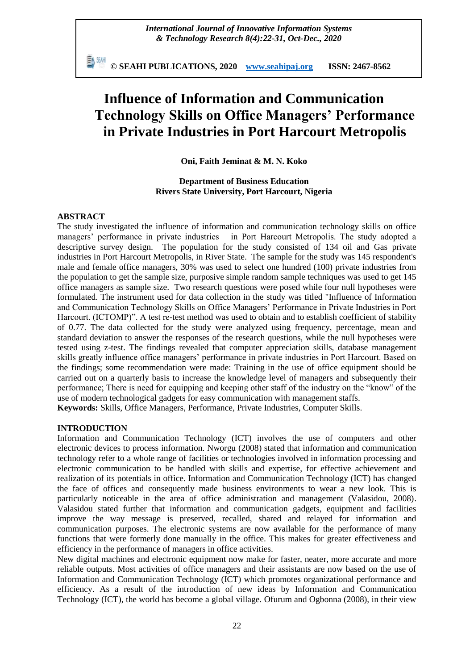勤酬 **© SEAHI PUBLICATIONS, 2020 [www.seahipaj.org](http://www.seahipaj.org/) ISSN: 2467-8562**

# **Influence of Information and Communication Technology Skills on Office Managers' Performance in Private Industries in Port Harcourt Metropolis**

**Oni, Faith Jeminat & M. N. Koko**

## **Department of Business Education Rivers State University, Port Harcourt, Nigeria**

## **ABSTRACT**

The study investigated the influence of information and communication technology skills on office managers' performance in private industries in Port Harcourt Metropolis. The study adopted a descriptive survey design. The population for the study consisted of 134 oil and Gas private industries in Port Harcourt Metropolis, in River State. The sample for the study was 145 respondent's male and female office managers, 30% was used to select one hundred (100) private industries from the population to get the sample size, purposive simple random sample techniques was used to get 145 office managers as sample size. Two research questions were posed while four null hypotheses were formulated. The instrument used for data collection in the study was titled "Influence of Information and Communication Technology Skills on Office Managers' Performance in Private Industries in Port Harcourt. (ICTOMP)". A test re-test method was used to obtain and to establish coefficient of stability of 0.77. The data collected for the study were analyzed using frequency, percentage, mean and standard deviation to answer the responses of the research questions, while the null hypotheses were tested using z-test. The findings revealed that computer appreciation skills, database management skills greatly influence office managers' performance in private industries in Port Harcourt. Based on the findings; some recommendation were made: Training in the use of office equipment should be carried out on a quarterly basis to increase the knowledge level of managers and subsequently their performance; There is need for equipping and keeping other staff of the industry on the "know" of the use of modern technological gadgets for easy communication with management staffs.

**Keywords:** Skills, Office Managers, Performance, Private Industries, Computer Skills.

## **INTRODUCTION**

Information and Communication Technology (ICT) involves the use of computers and other electronic devices to process information. Nworgu (2008) stated that information and communication technology refer to a whole range of facilities or technologies involved in information processing and electronic communication to be handled with skills and expertise, for effective achievement and realization of its potentials in office. Information and Communication Technology (ICT) has changed the face of offices and consequently made business environments to wear a new look. This is particularly noticeable in the area of office administration and management (Valasidou, 2008). Valasidou stated further that information and communication gadgets, equipment and facilities improve the way message is preserved, recalled, shared and relayed for information and communication purposes. The electronic systems are now available for the performance of many functions that were formerly done manually in the office. This makes for greater effectiveness and efficiency in the performance of managers in office activities.

New digital machines and electronic equipment now make for faster, neater, more accurate and more reliable outputs. Most activities of office managers and their assistants are now based on the use of Information and Communication Technology (ICT) which promotes organizational performance and efficiency. As a result of the introduction of new ideas by Information and Communication Technology (ICT), the world has become a global village. Ofurum and Ogbonna (2008), in their view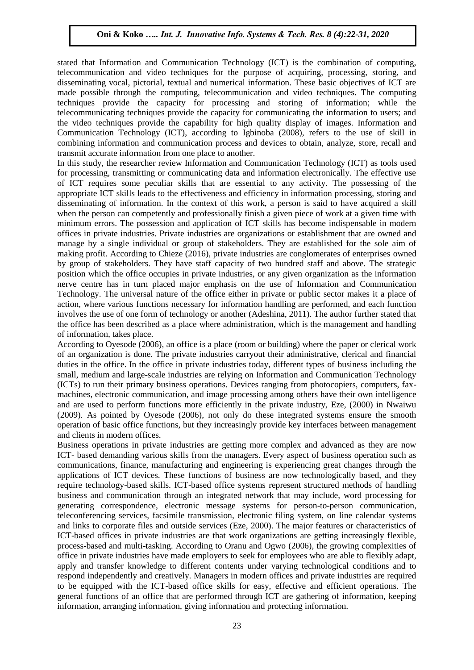stated that Information and Communication Technology (ICT) is the combination of computing, telecommunication and video techniques for the purpose of acquiring, processing, storing, and disseminating vocal, pictorial, textual and numerical information. These basic objectives of ICT are made possible through the computing, telecommunication and video techniques. The computing techniques provide the capacity for processing and storing of information; while the telecommunicating techniques provide the capacity for communicating the information to users; and the video techniques provide the capability for high quality display of images. Information and Communication Technology (ICT), according to Igbinoba (2008), refers to the use of skill in combining information and communication process and devices to obtain, analyze, store, recall and transmit accurate information from one place to another.

In this study, the researcher review Information and Communication Technology (ICT) as tools used for processing, transmitting or communicating data and information electronically. The effective use of ICT requires some peculiar skills that are essential to any activity. The possessing of the appropriate ICT skills leads to the effectiveness and efficiency in information processing, storing and disseminating of information. In the context of this work, a person is said to have acquired a skill when the person can competently and professionally finish a given piece of work at a given time with minimum errors. The possession and application of ICT skills has become indispensable in modern offices in private industries. Private industries are organizations or establishment that are owned and manage by a single individual or group of stakeholders. They are established for the sole aim of making profit. According to Chieze (2016), private industries are conglomerates of enterprises owned by group of stakeholders. They have staff capacity of two hundred staff and above. The strategic position which the office occupies in private industries, or any given organization as the information nerve centre has in turn placed major emphasis on the use of Information and Communication Technology. The universal nature of the office either in private or public sector makes it a place of action, where various functions necessary for information handling are performed, and each function involves the use of one form of technology or another (Adeshina, 2011). The author further stated that the office has been described as a place where administration, which is the management and handling of information, takes place.

According to Oyesode (2006), an office is a place (room or building) where the paper or clerical work of an organization is done. The private industries carryout their administrative, clerical and financial duties in the office. In the office in private industries today, different types of business including the small, medium and large-scale industries are relying on Information and Communication Technology (ICTs) to run their primary business operations. Devices ranging from photocopiers, computers, faxmachines, electronic communication, and image processing among others have their own intelligence and are used to perform functions more efficiently in the private industry, Eze, (2000) in Nwaiwu (2009). As pointed by Oyesode (2006), not only do these integrated systems ensure the smooth operation of basic office functions, but they increasingly provide key interfaces between management and clients in modern offices.

Business operations in private industries are getting more complex and advanced as they are now ICT- based demanding various skills from the managers. Every aspect of business operation such as communications, finance, manufacturing and engineering is experiencing great changes through the applications of ICT devices. These functions of business are now technologically based, and they require technology-based skills. ICT-based office systems represent structured methods of handling business and communication through an integrated network that may include, word processing for generating correspondence, electronic message systems for person-to-person communication, teleconferencing services, facsimile transmission, electronic filing system, on line calendar systems and links to corporate files and outside services (Eze, 2000). The major features or characteristics of ICT-based offices in private industries are that work organizations are getting increasingly flexible, process-based and multi-tasking. According to Oranu and Ogwo (2006), the growing complexities of office in private industries have made employers to seek for employees who are able to flexibly adapt, apply and transfer knowledge to different contents under varying technological conditions and to respond independently and creatively. Managers in modern offices and private industries are required to be equipped with the ICT-based office skills for easy, effective and efficient operations. The general functions of an office that are performed through ICT are gathering of information, keeping information, arranging information, giving information and protecting information.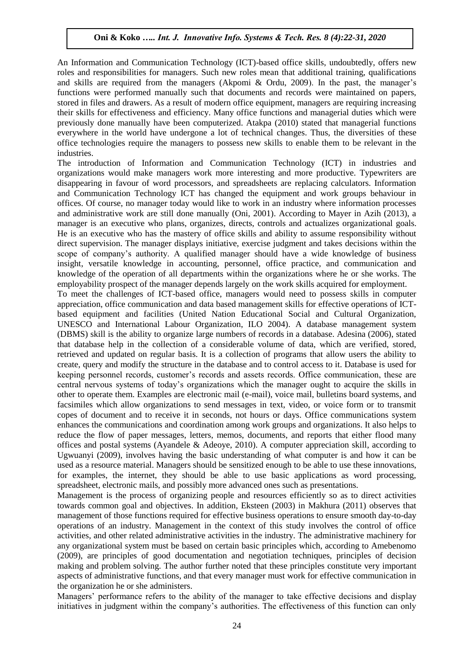An Information and Communication Technology (ICT)-based office skills, undoubtedly, offers new roles and responsibilities for managers. Such new roles mean that additional training, qualifications and skills are required from the managers (Akpomi & Ordu, 2009). In the past, the manager's functions were performed manually such that documents and records were maintained on papers, stored in files and drawers. As a result of modern office equipment, managers are requiring increasing their skills for effectiveness and efficiency. Many office functions and managerial duties which were previously done manually have been computerized. Atakpa (2010) stated that managerial functions everywhere in the world have undergone a lot of technical changes. Thus, the diversities of these office technologies require the managers to possess new skills to enable them to be relevant in the industries.

The introduction of Information and Communication Technology (ICT) in industries and organizations would make managers work more interesting and more productive. Typewriters are disappearing in favour of word processors, and spreadsheets are replacing calculators. Information and Communication Technology ICT has changed the equipment and work groups behaviour in offices. Of course, no manager today would like to work in an industry where information processes and administrative work are still done manually (Oni, 2001). According to Mayer in Azih (2013), a manager is an executive who plans, organizes, directs, controls and actualizes organizational goals. He is an executive who has the mastery of office skills and ability to assume responsibility without direct supervision. The manager displays initiative, exercise judgment and takes decisions within the scope of company's authority. A qualified manager should have a wide knowledge of business insight, versatile knowledge in accounting, personnel, office practice, and communication and knowledge of the operation of all departments within the organizations where he or she works. The employability prospect of the manager depends largely on the work skills acquired for employment.

To meet the challenges of ICT-based office, managers would need to possess skills in computer appreciation, office communication and data based management skills for effective operations of ICTbased equipment and facilities (United Nation Educational Social and Cultural Organization, UNESCO and International Labour Organization, ILO 2004). A database management system (DBMS) skill is the ability to organize large numbers of records in a database. Adesina (2006), stated that database help in the collection of a considerable volume of data, which are verified, stored, retrieved and updated on regular basis. It is a collection of programs that allow users the ability to create, query and modify the structure in the database and to control access to it. Database is used for keeping personnel records, customer's records and assets records. Office communication, these are central nervous systems of today's organizations which the manager ought to acquire the skills in other to operate them. Examples are electronic mail (e-mail), voice mail, bulletins board systems, and facsimiles which allow organizations to send messages in text, video, or voice form or to transmit copes of document and to receive it in seconds, not hours or days. Office communications system enhances the communications and coordination among work groups and organizations. It also helps to reduce the flow of paper messages, letters, memos, documents, and reports that either flood many offices and postal systems (Ayandele & Adeoye, 2010). A computer appreciation skill, according to Ugwuanyi (2009), involves having the basic understanding of what computer is and how it can be used as a resource material. Managers should be sensitized enough to be able to use these innovations, for examples, the internet, they should be able to use basic applications as word processing, spreadsheet, electronic mails, and possibly more advanced ones such as presentations.

Management is the process of organizing people and resources efficiently so as to direct activities towards common goal and objectives. In addition, Eksteen (2003) in Makhura (2011) observes that management of those functions required for effective business operations to ensure smooth day-to-day operations of an industry. Management in the context of this study involves the control of office activities, and other related administrative activities in the industry. The administrative machinery for any organizational system must be based on certain basic principles which, according to Amebenomo (2009), are principles of good documentation and negotiation techniques, principles of decision making and problem solving. The author further noted that these principles constitute very important aspects of administrative functions, and that every manager must work for effective communication in the organization he or she administers.

Managers' performance refers to the ability of the manager to take effective decisions and display initiatives in judgment within the company's authorities. The effectiveness of this function can only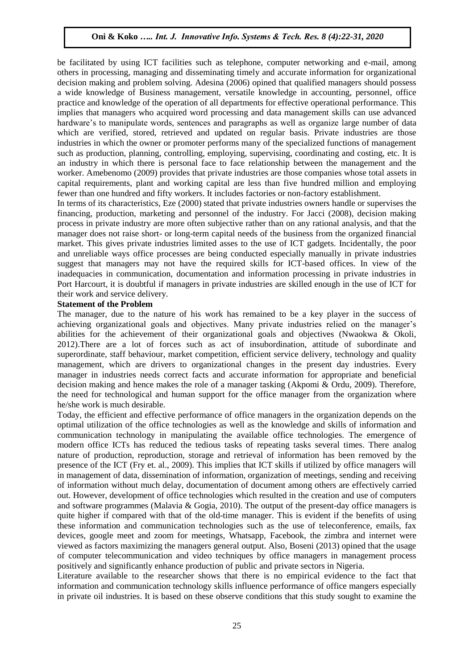be facilitated by using ICT facilities such as telephone, computer networking and e-mail, among others in processing, managing and disseminating timely and accurate information for organizational decision making and problem solving. Adesina (2006) opined that qualified managers should possess a wide knowledge of Business management, versatile knowledge in accounting, personnel, office practice and knowledge of the operation of all departments for effective operational performance. This implies that managers who acquired word processing and data management skills can use advanced hardware's to manipulate words, sentences and paragraphs as well as organize large number of data which are verified, stored, retrieved and updated on regular basis. Private industries are those industries in which the owner or promoter performs many of the specialized functions of management such as production, planning, controlling, employing, supervising, coordinating and costing, etc. It is an industry in which there is personal face to face relationship between the management and the worker. Amebenomo (2009) provides that private industries are those companies whose total assets in capital requirements, plant and working capital are less than five hundred million and employing fewer than one hundred and fifty workers. It includes factories or non-factory establishment.

In terms of its characteristics, Eze (2000) stated that private industries owners handle or supervises the financing, production, marketing and personnel of the industry. For Jacci (2008), decision making process in private industry are more often subjective rather than on any rational analysis, and that the manager does not raise short- or long-term capital needs of the business from the organized financial market. This gives private industries limited asses to the use of ICT gadgets. Incidentally, the poor and unreliable ways office processes are being conducted especially manually in private industries suggest that managers may not have the required skills for ICT-based offices. In view of the inadequacies in communication, documentation and information processing in private industries in Port Harcourt, it is doubtful if managers in private industries are skilled enough in the use of ICT for their work and service delivery.

#### **Statement of the Problem**

The manager, due to the nature of his work has remained to be a key player in the success of achieving organizational goals and objectives. Many private industries relied on the manager's abilities for the achievement of their organizational goals and objectives (Nwaokwa & Okoli, 2012).There are a lot of forces such as act of insubordination, attitude of subordinate and superordinate, staff behaviour, market competition, efficient service delivery, technology and quality management, which are drivers to organizational changes in the present day industries. Every manager in industries needs correct facts and accurate information for appropriate and beneficial decision making and hence makes the role of a manager tasking (Akpomi & Ordu, 2009). Therefore, the need for technological and human support for the office manager from the organization where he/she work is much desirable.

Today, the efficient and effective performance of office managers in the organization depends on the optimal utilization of the office technologies as well as the knowledge and skills of information and communication technology in manipulating the available office technologies. The emergence of modern office ICTs has reduced the tedious tasks of repeating tasks several times. There analog nature of production, reproduction, storage and retrieval of information has been removed by the presence of the ICT (Fry et. al., 2009). This implies that ICT skills if utilized by office managers will in management of data, dissemination of information, organization of meetings, sending and receiving of information without much delay, documentation of document among others are effectively carried out. However, development of office technologies which resulted in the creation and use of computers and software programmes (Malavia & Gogia, 2010). The output of the present-day office managers is quite higher if compared with that of the old-time manager. This is evident if the benefits of using these information and communication technologies such as the use of teleconference, emails, fax devices, google meet and zoom for meetings, Whatsapp, Facebook, the zimbra and internet were viewed as factors maximizing the managers general output. Also, Boseni (2013) opined that the usage of computer telecommunication and video techniques by office managers in management process positively and significantly enhance production of public and private sectors in Nigeria.

Literature available to the researcher shows that there is no empirical evidence to the fact that information and communication technology skills influence performance of office mangers especially in private oil industries. It is based on these observe conditions that this study sought to examine the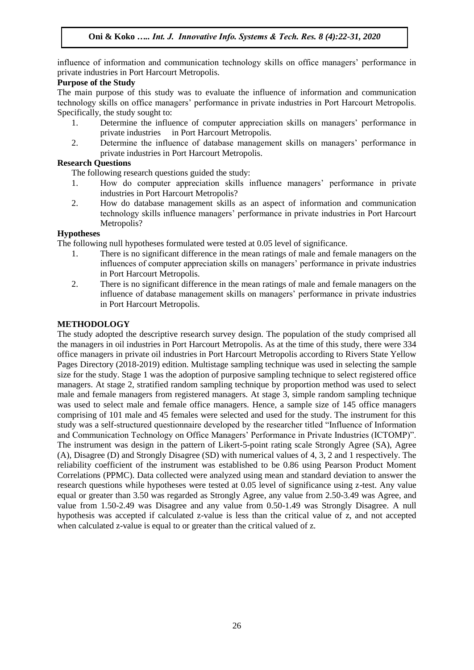influence of information and communication technology skills on office managers' performance in private industries in Port Harcourt Metropolis.

## **Purpose of the Study**

The main purpose of this study was to evaluate the influence of information and communication technology skills on office managers' performance in private industries in Port Harcourt Metropolis. Specifically, the study sought to:

- 1. Determine the influence of computer appreciation skills on managers' performance in private industries in Port Harcourt Metropolis.
- 2. Determine the influence of database management skills on managers' performance in private industries in Port Harcourt Metropolis.

### **Research Questions**

The following research questions guided the study:

- 1. How do computer appreciation skills influence managers' performance in private industries in Port Harcourt Metropolis?
- 2. How do database management skills as an aspect of information and communication technology skills influence managers' performance in private industries in Port Harcourt Metropolis?

#### **Hypotheses**

The following null hypotheses formulated were tested at 0.05 level of significance.

- 1. There is no significant difference in the mean ratings of male and female managers on the influences of computer appreciation skills on managers' performance in private industries in Port Harcourt Metropolis.
- 2. There is no significant difference in the mean ratings of male and female managers on the influence of database management skills on managers' performance in private industries in Port Harcourt Metropolis.

#### **METHODOLOGY**

The study adopted the descriptive research survey design. The population of the study comprised all the managers in oil industries in Port Harcourt Metropolis. As at the time of this study, there were 334 office managers in private oil industries in Port Harcourt Metropolis according to Rivers State Yellow Pages Directory (2018-2019) edition. Multistage sampling technique was used in selecting the sample size for the study. Stage 1 was the adoption of purposive sampling technique to select registered office managers. At stage 2, stratified random sampling technique by proportion method was used to select male and female managers from registered managers. At stage 3, simple random sampling technique was used to select male and female office managers. Hence, a sample size of 145 office managers comprising of 101 male and 45 females were selected and used for the study. The instrument for this study was a self-structured questionnaire developed by the researcher titled "Influence of Information and Communication Technology on Office Managers' Performance in Private Industries (ICTOMP)". The instrument was design in the pattern of Likert-5-point rating scale Strongly Agree (SA), Agree (A), Disagree (D) and Strongly Disagree (SD) with numerical values of 4, 3, 2 and 1 respectively. The reliability coefficient of the instrument was established to be 0.86 using Pearson Product Moment Correlations (PPMC). Data collected were analyzed using mean and standard deviation to answer the research questions while hypotheses were tested at 0.05 level of significance using z-test. Any value equal or greater than 3.50 was regarded as Strongly Agree, any value from 2.50-3.49 was Agree, and value from 1.50-2.49 was Disagree and any value from 0.50-1.49 was Strongly Disagree. A null hypothesis was accepted if calculated z-value is less than the critical value of z, and not accepted when calculated z-value is equal to or greater than the critical valued of z.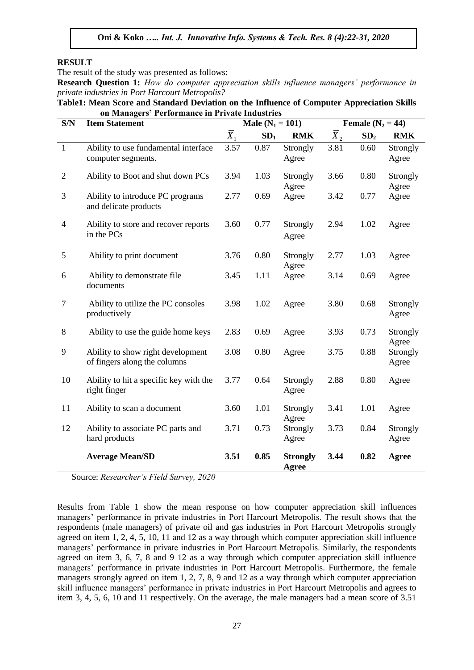## **RESULT**

The result of the study was presented as follows:

**Research Question 1:** *How do computer appreciation skills influence managers' performance in private industries in Port Harcourt Metropolis?*

**Table1: Mean Score and Standard Deviation on the Influence of Computer Appreciation Skills on Managers' Performance in Private Industries**

| S/N            | <br><b>Item Statement</b>                                         |                  | Male ( $N_1 = 101$ ) |                          | Female $(N_2 = 44)$ |                 |                   |
|----------------|-------------------------------------------------------------------|------------------|----------------------|--------------------------|---------------------|-----------------|-------------------|
|                |                                                                   | $\overline{X}_1$ | SD <sub>1</sub>      | <b>RMK</b>               | $\overline{X}_2$    | SD <sub>2</sub> | <b>RMK</b>        |
| $\mathbf{1}$   | Ability to use fundamental interface<br>computer segments.        | 3.57             | 0.87                 | Strongly<br>Agree        | 3.81                | 0.60            | Strongly<br>Agree |
| $\overline{2}$ | Ability to Boot and shut down PCs                                 |                  | 1.03                 | Strongly<br>Agree        | 3.66                | 0.80            | Strongly<br>Agree |
| 3              | Ability to introduce PC programs<br>and delicate products         | 2.77             | 0.69                 | Agree                    | 3.42                | 0.77            | Agree             |
| $\overline{4}$ | Ability to store and recover reports<br>in the PCs                | 3.60             | 0.77                 | Strongly<br>Agree        | 2.94                | 1.02            | Agree             |
| $\mathfrak{S}$ | Ability to print document                                         | 3.76             | 0.80                 | Strongly<br>Agree        | 2.77                | 1.03            | Agree             |
| 6              | Ability to demonstrate file<br>documents                          | 3.45             | 1.11                 | Agree                    | 3.14                | 0.69            | Agree             |
| 7              | Ability to utilize the PC consoles<br>productively                | 3.98             | 1.02                 | Agree                    | 3.80                | 0.68            | Strongly<br>Agree |
| $8\,$          | Ability to use the guide home keys                                | 2.83             | 0.69                 | Agree                    | 3.93                | 0.73            | Strongly<br>Agree |
| 9              | Ability to show right development<br>of fingers along the columns | 3.08             | 0.80                 | Agree                    | 3.75                | 0.88            | Strongly<br>Agree |
| 10             | Ability to hit a specific key with the<br>right finger            | 3.77             | 0.64                 | Strongly<br>Agree        | 2.88                | 0.80            | Agree             |
| 11             | Ability to scan a document                                        | 3.60             | 1.01                 | Strongly<br>Agree        | 3.41                | 1.01            | Agree             |
| 12             | Ability to associate PC parts and<br>hard products                | 3.71             | 0.73                 | Strongly<br>Agree        | 3.73                | 0.84            | Strongly<br>Agree |
|                | <b>Average Mean/SD</b>                                            | 3.51             | 0.85                 | <b>Strongly</b><br>Agree | 3.44                | 0.82            | <b>Agree</b>      |

Source: *Researcher's Field Survey, 2020*

Results from Table 1 show the mean response on how computer appreciation skill influences managers' performance in private industries in Port Harcourt Metropolis. The result shows that the respondents (male managers) of private oil and gas industries in Port Harcourt Metropolis strongly agreed on item 1, 2, 4, 5, 10, 11 and 12 as a way through which computer appreciation skill influence managers' performance in private industries in Port Harcourt Metropolis. Similarly, the respondents agreed on item 3, 6, 7, 8 and 9 12 as a way through which computer appreciation skill influence managers' performance in private industries in Port Harcourt Metropolis. Furthermore, the female managers strongly agreed on item 1, 2, 7, 8, 9 and 12 as a way through which computer appreciation skill influence managers' performance in private industries in Port Harcourt Metropolis and agrees to item 3, 4, 5, 6, 10 and 11 respectively. On the average, the male managers had a mean score of 3.51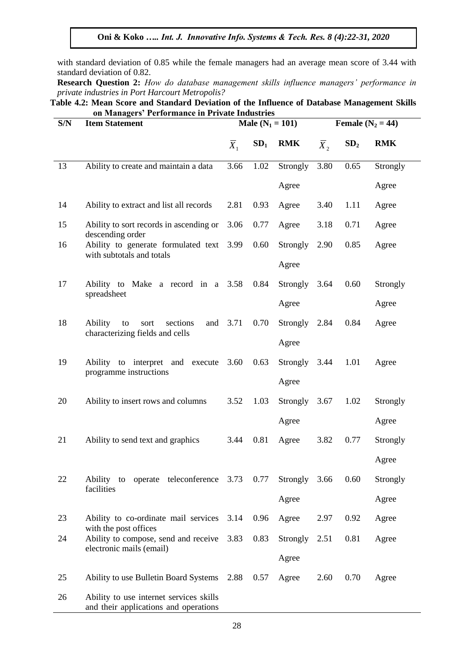with standard deviation of 0.85 while the female managers had an average mean score of 3.44 with standard deviation of 0.82.

**Research Question 2:** *How do database management skills influence managers' performance in private industries in Port Harcourt Metropolis?*

**Table 4.2: Mean Score and Standard Deviation of the Influence of Database Management Skills on Managers' Performance in Private Industries**

| S/N | <b>Item Statement</b>                                                            |                  | Male $(N_1 = 101)$ |            |                  | Female $(N_2 = 44)$ |            |  |
|-----|----------------------------------------------------------------------------------|------------------|--------------------|------------|------------------|---------------------|------------|--|
|     |                                                                                  | $\overline{X}_1$ | SD <sub>1</sub>    | <b>RMK</b> | $\overline{X}_2$ | SD <sub>2</sub>     | <b>RMK</b> |  |
| 13  | Ability to create and maintain a data                                            | 3.66             | 1.02               | Strongly   | 3.80             | 0.65                | Strongly   |  |
|     |                                                                                  |                  |                    | Agree      |                  |                     | Agree      |  |
| 14  | Ability to extract and list all records                                          | 2.81             | 0.93               | Agree      | 3.40             | 1.11                | Agree      |  |
| 15  | Ability to sort records in ascending or<br>descending order                      | 3.06             | 0.77               | Agree      | 3.18             | 0.71                | Agree      |  |
| 16  | Ability to generate formulated text 3.99<br>with subtotals and totals            |                  | 0.60               | Strongly   | 2.90             | 0.85                | Agree      |  |
|     |                                                                                  |                  |                    | Agree      |                  |                     |            |  |
| 17  | Ability to Make a record in a 3.58<br>spreadsheet                                |                  | 0.84               | Strongly   | 3.64             | 0.60                | Strongly   |  |
|     |                                                                                  |                  |                    | Agree      |                  |                     | Agree      |  |
| 18  | sections<br>and<br>Ability<br>to<br>sort<br>characterizing fields and cells      | 3.71             | 0.70               | Strongly   | 2.84             | 0.84                | Agree      |  |
|     |                                                                                  |                  |                    | Agree      |                  |                     |            |  |
| 19  | Ability to interpret and execute<br>programme instructions                       | 3.60             | 0.63               | Strongly   | 3.44             | 1.01                | Agree      |  |
|     |                                                                                  |                  |                    | Agree      |                  |                     |            |  |
| 20  | Ability to insert rows and columns                                               | 3.52             | 1.03               | Strongly   | 3.67             | 1.02                | Strongly   |  |
|     |                                                                                  |                  |                    | Agree      |                  |                     | Agree      |  |
| 21  | Ability to send text and graphics                                                | 3.44             | 0.81               | Agree      | 3.82             | 0.77                | Strongly   |  |
|     |                                                                                  |                  |                    |            |                  |                     | Agree      |  |
| 22  | Ability to operate teleconference 3.73 0.77<br>facilities                        |                  |                    | Strongly   | 3.66             | 0.60                | Strongly   |  |
|     |                                                                                  |                  |                    | Agree      |                  |                     | Agree      |  |
| 23  | Ability to co-ordinate mail services                                             | 3.14             | 0.96               | Agree      | 2.97             | 0.92                | Agree      |  |
| 24  | with the post offices<br>Ability to compose, send and receive                    | 3.83             | 0.83               | Strongly   | 2.51             | 0.81                | Agree      |  |
|     | electronic mails (email)                                                         |                  |                    | Agree      |                  |                     |            |  |
| 25  | Ability to use Bulletin Board Systems                                            | 2.88             | 0.57               | Agree      | 2.60             | 0.70                | Agree      |  |
| 26  | Ability to use internet services skills<br>and their applications and operations |                  |                    |            |                  |                     |            |  |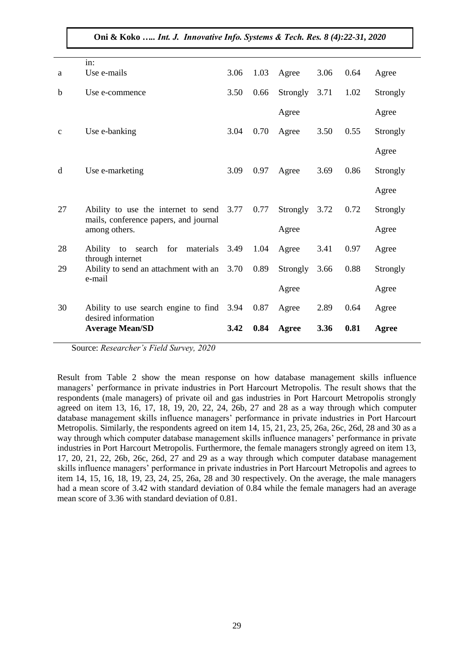| a            | in:<br>Use e-mails                                                                                 | 3.06 | 1.03 | Agree    | 3.06 | 0.64 | Agree    |
|--------------|----------------------------------------------------------------------------------------------------|------|------|----------|------|------|----------|
| b            | Use e-commence                                                                                     | 3.50 | 0.66 | Strongly | 3.71 | 1.02 | Strongly |
|              |                                                                                                    |      |      | Agree    |      |      | Agree    |
| $\mathbf{C}$ | Use e-banking                                                                                      | 3.04 | 0.70 | Agree    | 3.50 | 0.55 | Strongly |
|              |                                                                                                    |      |      |          |      |      | Agree    |
| d            | Use e-marketing                                                                                    | 3.09 | 0.97 | Agree    | 3.69 | 0.86 | Strongly |
|              |                                                                                                    |      |      |          |      |      | Agree    |
| 27           | Ability to use the internet to send 3.77<br>mails, conference papers, and journal<br>among others. |      | 0.77 | Strongly | 3.72 | 0.72 | Strongly |
|              |                                                                                                    |      |      | Agree    |      |      | Agree    |
| 28           | search for materials<br>Ability to<br>through internet                                             | 3.49 | 1.04 | Agree    | 3.41 | 0.97 | Agree    |
| 29           | Ability to send an attachment with an 3.70<br>e-mail                                               |      | 0.89 | Strongly | 3.66 | 0.88 | Strongly |
|              |                                                                                                    |      |      | Agree    |      |      | Agree    |
| 30           | Ability to use search engine to find 3.94<br>desired information                                   |      | 0.87 | Agree    | 2.89 | 0.64 | Agree    |
|              | <b>Average Mean/SD</b>                                                                             | 3.42 | 0.84 | Agree    | 3.36 | 0.81 | Agree    |

Source: *Researcher's Field Survey, 2020*

Result from Table 2 show the mean response on how database management skills influence managers' performance in private industries in Port Harcourt Metropolis. The result shows that the respondents (male managers) of private oil and gas industries in Port Harcourt Metropolis strongly agreed on item 13, 16, 17, 18, 19, 20, 22, 24, 26b, 27 and 28 as a way through which computer database management skills influence managers' performance in private industries in Port Harcourt Metropolis. Similarly, the respondents agreed on item 14, 15, 21, 23, 25, 26a, 26c, 26d, 28 and 30 as a way through which computer database management skills influence managers' performance in private industries in Port Harcourt Metropolis. Furthermore, the female managers strongly agreed on item 13, 17, 20, 21, 22, 26b, 26c, 26d, 27 and 29 as a way through which computer database management skills influence managers' performance in private industries in Port Harcourt Metropolis and agrees to item 14, 15, 16, 18, 19, 23, 24, 25, 26a, 28 and 30 respectively. On the average, the male managers had a mean score of 3.42 with standard deviation of 0.84 while the female managers had an average mean score of 3.36 with standard deviation of 0.81.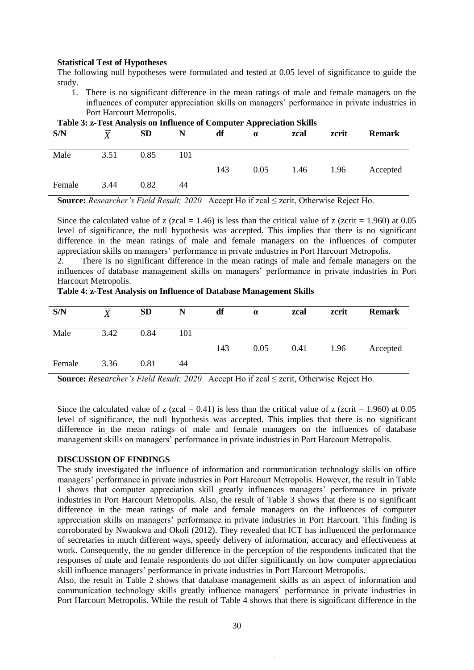#### **Statistical Test of Hypotheses**

The following null hypotheses were formulated and tested at 0.05 level of significance to guide the study.

1. There is no significant difference in the mean ratings of male and female managers on the influences of computer appreciation skills on managers' performance in private industries in Port Harcourt Metropolis.

| Table 5: 2-Test Analysis on Initiative of Computer Appreciation Skills |      |           |     |     |          |      |       |               |  |
|------------------------------------------------------------------------|------|-----------|-----|-----|----------|------|-------|---------------|--|
| S/N                                                                    | Y    | <b>SD</b> | N   | df  | $\alpha$ | zcal | zcrit | <b>Remark</b> |  |
| Male                                                                   | 3.51 | 0.85      | 101 | 143 | 0.05     | 1.46 | 1.96  | Accepted      |  |
| Female                                                                 | 3.44 | 0.82      | 44  |     |          |      |       |               |  |

| Table 3: z-Test Analysis on Influence of Computer Appreciation Skills |  |  |  |
|-----------------------------------------------------------------------|--|--|--|

**Source:** *Researcher's Field Result; 2020* Accept Ho if zcal ≤ zcrit, Otherwise Reject Ho.

Since the calculated value of z (zcal = 1.46) is less than the critical value of z (zcrit = 1.960) at 0.05 level of significance, the null hypothesis was accepted. This implies that there is no significant difference in the mean ratings of male and female managers on the influences of computer appreciation skills on managers' performance in private industries in Port Harcourt Metropolis.

2. There is no significant difference in the mean ratings of male and female managers on the influences of database management skills on managers' performance in private industries in Port Harcourt Metropolis.

**Table 4: z-Test Analysis on Influence of Database Management Skills**

| S/N    | $\boldsymbol{X}$ | <b>SD</b> | N   | df  | $\alpha$ | zcal | zcrit | <b>Remark</b> |
|--------|------------------|-----------|-----|-----|----------|------|-------|---------------|
| Male   | 3.42             | 0.84      | 101 |     |          |      |       |               |
|        |                  |           |     | 143 | 0.05     | 0.41 | 1.96  | Accepted      |
| Female | 3.36             | 0.81      | 44  |     |          |      |       |               |

**Source:** *Researcher's Field Result; 2020* Accept Ho if zcal ≤ zcrit, Otherwise Reject Ho.

Since the calculated value of z (zcal =  $0.41$ ) is less than the critical value of z (zcrit = 1.960) at 0.05 level of significance, the null hypothesis was accepted. This implies that there is no significant difference in the mean ratings of male and female managers on the influences of database management skills on managers' performance in private industries in Port Harcourt Metropolis.

#### **DISCUSSION OF FINDINGS**

The study investigated the influence of information and communication technology skills on office managers' performance in private industries in Port Harcourt Metropolis. However, the result in Table 1 shows that computer appreciation skill greatly influences managers' performance in private industries in Port Harcourt Metropolis. Also, the result of Table 3 shows that there is no significant difference in the mean ratings of male and female managers on the influences of computer appreciation skills on managers' performance in private industries in Port Harcourt. This finding is corroborated by Nwaokwa and Okoli (2012). They revealed that ICT has influenced the performance of secretaries in much different ways, speedy delivery of information, accuracy and effectiveness at work. Consequently, the no gender difference in the perception of the respondents indicated that the responses of male and female respondents do not differ significantly on how computer appreciation skill influence managers' performance in private industries in Port Harcourt Metropolis.

Also, the result in Table 2 shows that database management skills as an aspect of information and communication technology skills greatly influence managers' performance in private industries in Port Harcourt Metropolis. While the result of Table 4 shows that there is significant difference in the